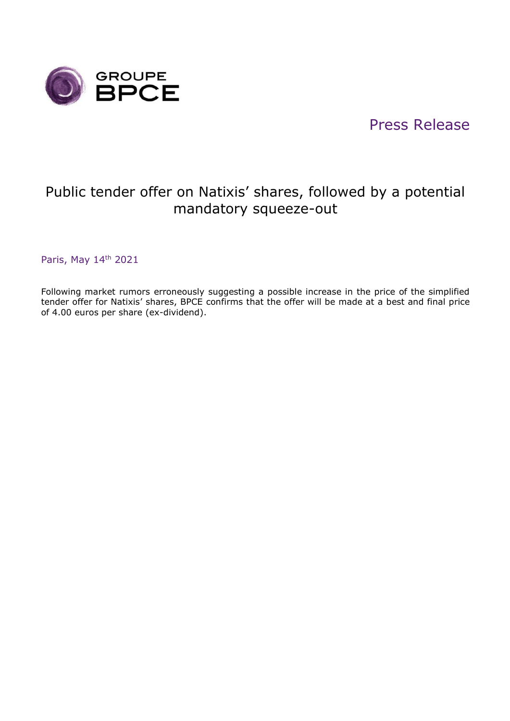

## Press Release

## Public tender offer on Natixis' shares, followed by a potential mandatory squeeze-out

Paris, May 14<sup>th</sup> 2021

Following market rumors erroneously suggesting a possible increase in the price of the simplified tender offer for Natixis' shares, BPCE confirms that the offer will be made at a best and final price of 4.00 euros per share (ex-dividend).